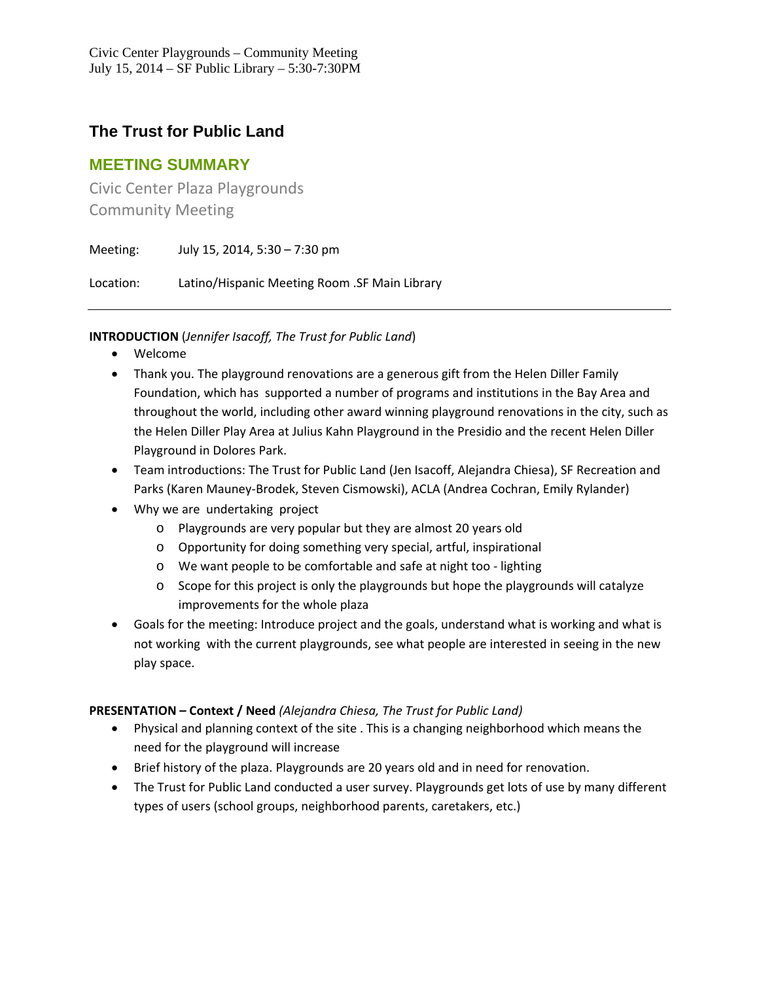# **The Trust for Public Land**

## **MEETING SUMMARY**

Civic Center Plaza Playgrounds Community Meeting

Meeting: July 15, 2014, 5:30 – 7:30 pm Location: Latino/Hispanic Meeting Room .SF Main Library

**INTRODUCTION** (*Jennifer Isacoff, The Trust for Public Land*)

- Welcome
- Thank you. The playground renovations are a generous gift from the Helen Diller Family Foundation, which has supported a number of programs and institutions in the Bay Area and throughout the world, including other award winning playground renovations in the city, such as the Helen Diller Play Area at Julius Kahn Playground in the Presidio and the recent Helen Diller Playground in Dolores Park.
- Team introductions: The Trust for Public Land (Jen Isacoff, Alejandra Chiesa), SF Recreation and Parks (Karen Mauney‐Brodek, Steven Cismowski), ACLA (Andrea Cochran, Emily Rylander)
- Why we are undertaking project
	- o Playgrounds are very popular but they are almost 20 years old
	- o Opportunity for doing something very special, artful, inspirational
	- o We want people to be comfortable and safe at night too ‐ lighting
	- o Scope for this project is only the playgrounds but hope the playgrounds will catalyze improvements for the whole plaza
- Goals for the meeting: Introduce project and the goals, understand what is working and what is not working with the current playgrounds, see what people are interested in seeing in the new play space.

### **PRESENTATION – Context / Need** *(Alejandra Chiesa, The Trust for Public Land)*

- Physical and planning context of the site . This is a changing neighborhood which means the need for the playground will increase
- Brief history of the plaza. Playgrounds are 20 years old and in need for renovation.
- The Trust for Public Land conducted a user survey. Playgrounds get lots of use by many different types of users (school groups, neighborhood parents, caretakers, etc.)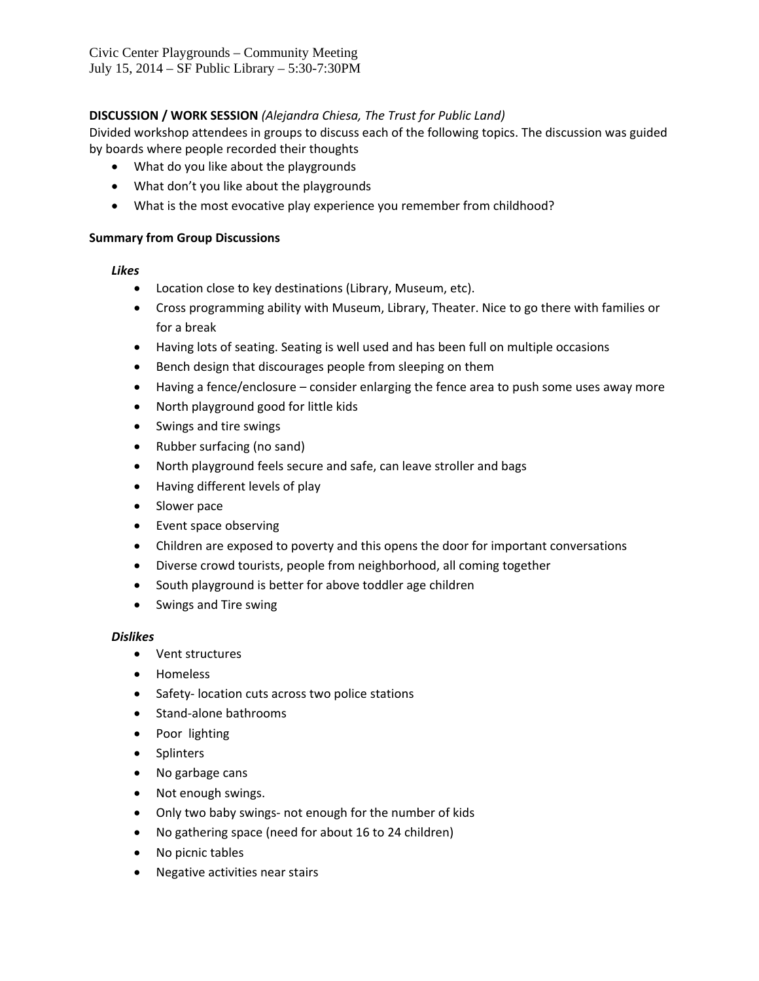### **DISCUSSION / WORK SESSION** *(Alejandra Chiesa, The Trust for Public Land)*

Divided workshop attendees in groups to discuss each of the following topics. The discussion was guided by boards where people recorded their thoughts

- What do you like about the playgrounds
- What don't you like about the playgrounds
- What is the most evocative play experience you remember from childhood?

#### **Summary from Group Discussions**

#### *Likes*

- Location close to key destinations (Library, Museum, etc).
- Cross programming ability with Museum, Library, Theater. Nice to go there with families or for a break
- Having lots of seating. Seating is well used and has been full on multiple occasions
- Bench design that discourages people from sleeping on them
- Having a fence/enclosure consider enlarging the fence area to push some uses away more
- North playground good for little kids
- Swings and tire swings
- Rubber surfacing (no sand)
- North playground feels secure and safe, can leave stroller and bags
- Having different levels of play
- Slower pace
- Event space observing
- Children are exposed to poverty and this opens the door for important conversations
- Diverse crowd tourists, people from neighborhood, all coming together
- South playground is better for above toddler age children
- Swings and Tire swing

#### *Dislikes*

- Vent structures
- Homeless
- Safety-location cuts across two police stations
- Stand-alone bathrooms
- Poor lighting
- Splinters
- No garbage cans
- Not enough swings.
- Only two baby swings- not enough for the number of kids
- No gathering space (need for about 16 to 24 children)
- No picnic tables
- Negative activities near stairs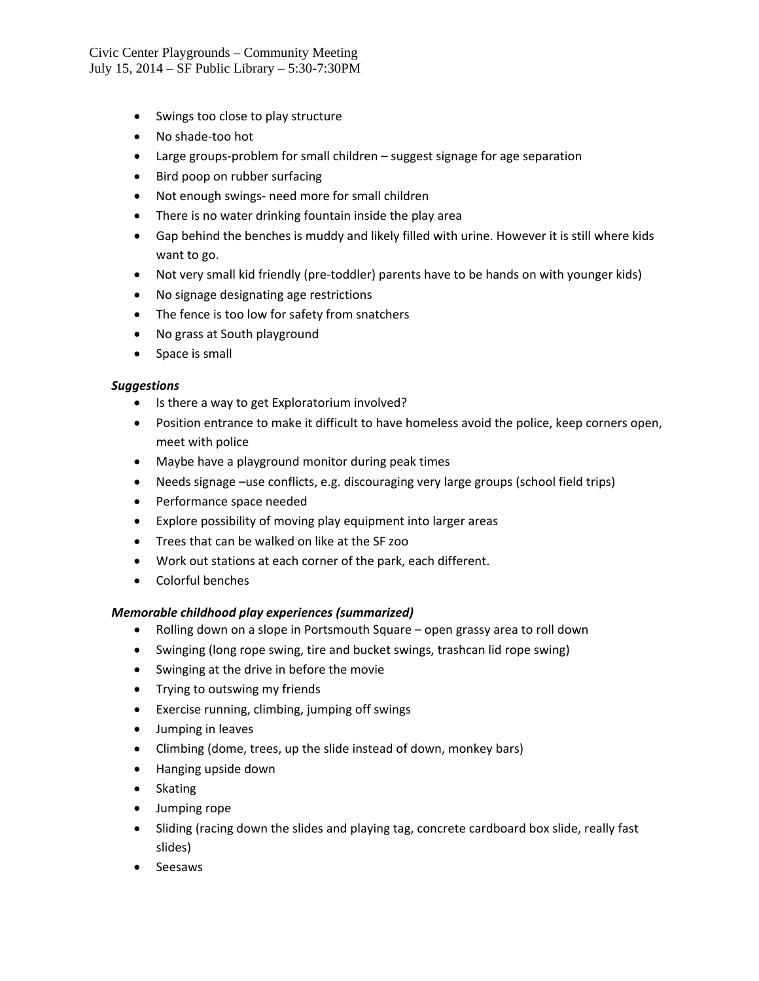Civic Center Playgrounds – Community Meeting July 15, 2014 – SF Public Library – 5:30-7:30PM

- Swings too close to play structure
- No shade-too hot
- Large groups‐problem for small children suggest signage for age separation
- Bird poop on rubber surfacing
- Not enough swings- need more for small children
- There is no water drinking fountain inside the play area
- Gap behind the benches is muddy and likely filled with urine. However it is still where kids want to go.
- Not very small kid friendly (pre-toddler) parents have to be hands on with younger kids)
- No signage designating age restrictions
- The fence is too low for safety from snatchers
- No grass at South playground
- Space is small

#### *Suggestions*

- Is there a way to get Exploratorium involved?
- Position entrance to make it difficult to have homeless avoid the police, keep corners open, meet with police
- Maybe have a playground monitor during peak times
- Needs signage –use conflicts, e.g. discouraging very large groups (school field trips)
- Performance space needed
- Explore possibility of moving play equipment into larger areas
- Trees that can be walked on like at the SF zoo
- Work out stations at each corner of the park, each different.
- Colorful benches

#### *Memorable childhood play experiences (summarized)*

- Rolling down on a slope in Portsmouth Square open grassy area to roll down
- Swinging (long rope swing, tire and bucket swings, trashcan lid rope swing)
- Swinging at the drive in before the movie
- Trying to outswing my friends
- Exercise running, climbing, jumping off swings
- Jumping in leaves
- Climbing (dome, trees, up the slide instead of down, monkey bars)
- Hanging upside down
- Skating
- Jumping rope
- Sliding (racing down the slides and playing tag, concrete cardboard box slide, really fast slides)
- Seesaws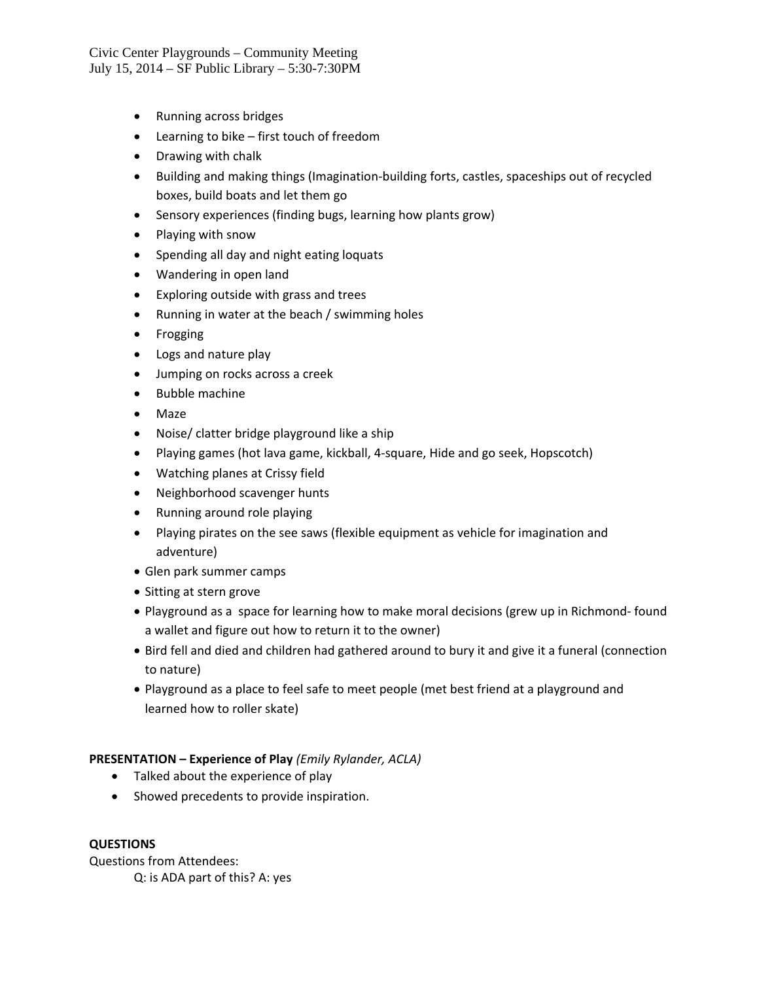Civic Center Playgrounds – Community Meeting July 15, 2014 – SF Public Library – 5:30-7:30PM

- Running across bridges
- Learning to bike first touch of freedom
- Drawing with chalk
- Building and making things (Imagination-building forts, castles, spaceships out of recycled boxes, build boats and let them go
- Sensory experiences (finding bugs, learning how plants grow)
- Playing with snow
- Spending all day and night eating loquats
- Wandering in open land
- Exploring outside with grass and trees
- Running in water at the beach / swimming holes
- Frogging
- Logs and nature play
- Jumping on rocks across a creek
- Bubble machine
- Maze
- Noise/ clatter bridge playground like a ship
- Playing games (hot lava game, kickball, 4-square, Hide and go seek, Hopscotch)
- Watching planes at Crissy field
- Neighborhood scavenger hunts
- Running around role playing
- Playing pirates on the see saws (flexible equipment as vehicle for imagination and adventure)
- Glen park summer camps
- Sitting at stern grove
- Playground as a space for learning how to make moral decisions (grew up in Richmond‐ found a wallet and figure out how to return it to the owner)
- Bird fell and died and children had gathered around to bury it and give it a funeral (connection to nature)
- Playground as a place to feel safe to meet people (met best friend at a playground and learned how to roller skate)

#### **PRESENTATION – Experience of Play** *(Emily Rylander, ACLA)*

- Talked about the experience of play
- Showed precedents to provide inspiration.

#### **QUESTIONS**

Questions from Attendees: Q: is ADA part of this? A: yes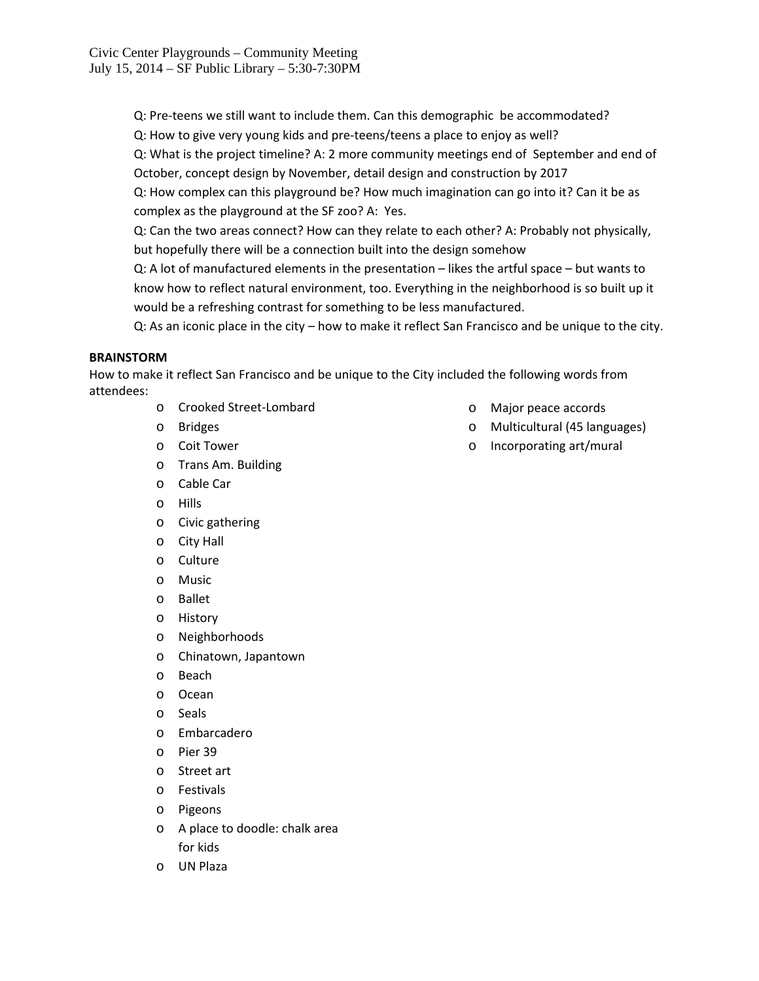Q: Pre-teens we still want to include them. Can this demographic be accommodated?

Q: How to give very young kids and pre‐teens/teens a place to enjoy as well?

Q: What is the project timeline? A: 2 more community meetings end of September and end of October, concept design by November, detail design and construction by 2017

Q: How complex can this playground be? How much imagination can go into it? Can it be as complex as the playground at the SF zoo? A: Yes.

Q: Can the two areas connect? How can they relate to each other? A: Probably not physically, but hopefully there will be a connection built into the design somehow

Q: A lot of manufactured elements in the presentation – likes the artful space – but wants to know how to reflect natural environment, too. Everything in the neighborhood is so built up it would be a refreshing contrast for something to be less manufactured.

Q: As an iconic place in the city – how to make it reflect San Francisco and be unique to the city.

#### **BRAINSTORM**

How to make it reflect San Francisco and be unique to the City included the following words from attendees:

- o Crooked Street‐Lombard
- o Bridges
- o Coit Tower
- o Trans Am. Building
- o Cable Car
- o Hills
- o Civic gathering
- o City Hall
- o Culture
- o Music
- o Ballet
- o History
- o Neighborhoods
- o Chinatown, Japantown
- o Beach
- o Ocean
- o Seals
- o Embarcadero
- o Pier 39
- o Street art
- o Festivals
- o Pigeons
- o A place to doodle: chalk area for kids
- o UN Plaza
- o Major peace accords
- o Multicultural (45 languages)
- o Incorporating art/mural